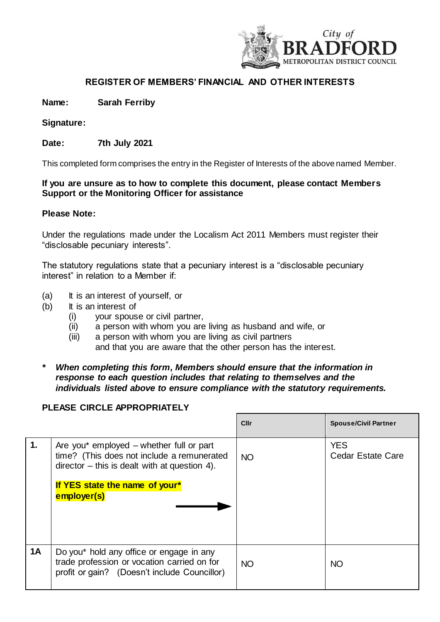

# **REGISTER OF MEMBERS' FINANCIAL AND OTHER INTERESTS**

**Name: Sarah Ferriby** 

**Signature:**

**Date: 7th July 2021** 

This completed form comprises the entry in the Register of Interests of the above named Member.

### **If you are unsure as to how to complete this document, please contact Members Support or the Monitoring Officer for assistance**

#### **Please Note:**

Under the regulations made under the Localism Act 2011 Members must register their "disclosable pecuniary interests".

The statutory regulations state that a pecuniary interest is a "disclosable pecuniary interest" in relation to a Member if:

- (a) It is an interest of yourself, or
- (b) It is an interest of
	- (i) your spouse or civil partner,
	- (ii) a person with whom you are living as husband and wife, or
	- (iii) a person with whom you are living as civil partners and that you are aware that the other person has the interest.
- *\* When completing this form, Members should ensure that the information in response to each question includes that relating to themselves and the individuals listed above to ensure compliance with the statutory requirements.*

### **PLEASE CIRCLE APPROPRIATELY**

|                |                                                                                                                                                                                           | Cllr      | <b>Spouse/Civil Partner</b>            |
|----------------|-------------------------------------------------------------------------------------------------------------------------------------------------------------------------------------------|-----------|----------------------------------------|
| $\mathbf{1}$ . | Are you* employed – whether full or part<br>time? (This does not include a remunerated<br>$director - this is dealt with at question 4.$<br>If YES state the name of your*<br>employer(s) | <b>NO</b> | <b>YES</b><br><b>Cedar Estate Care</b> |
| 1A             | Do you* hold any office or engage in any<br>trade profession or vocation carried on for<br>profit or gain? (Doesn't include Councillor)                                                   | <b>NO</b> | <b>NO</b>                              |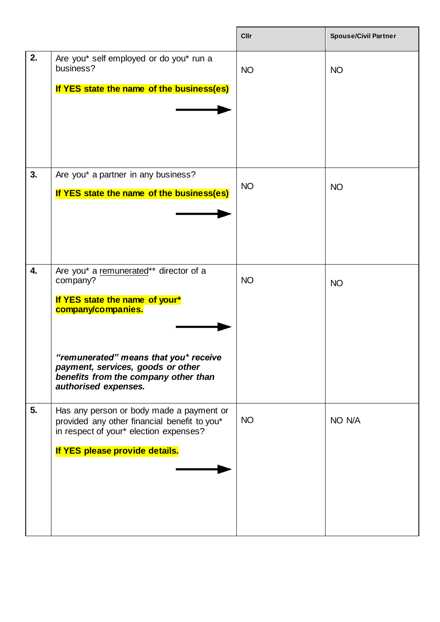|    |                                                                                                                                                                                                                                                          | Cllr      | <b>Spouse/Civil Partner</b> |
|----|----------------------------------------------------------------------------------------------------------------------------------------------------------------------------------------------------------------------------------------------------------|-----------|-----------------------------|
| 2. | Are you* self employed or do you* run a<br>business?<br>If YES state the name of the business(es)                                                                                                                                                        | <b>NO</b> | <b>NO</b>                   |
| 3. | Are you* a partner in any business?<br>If YES state the name of the business(es)                                                                                                                                                                         | <b>NO</b> | <b>NO</b>                   |
| 4. | Are you* a remunerated** director of a<br>company?<br>If YES state the name of your*<br>company/companies.<br>"remunerated" means that you* receive<br>payment, services, goods or other<br>benefits from the company other than<br>authorised expenses. | <b>NO</b> | <b>NO</b>                   |
| 5. | Has any person or body made a payment or<br>provided any other financial benefit to you*<br>in respect of your* election expenses?<br>If YES please provide details.                                                                                     | <b>NO</b> | NO N/A                      |

 $\mathbf{r}$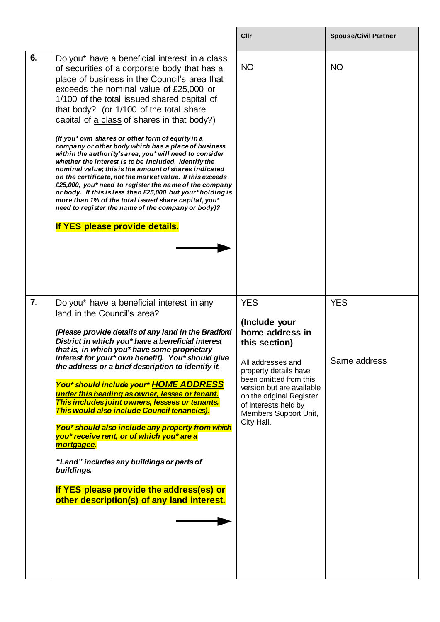|                  |                                                                                                                                                                                                                                                                                                                                                                                                                                                                                                                                                                                                                                                                                                                                                                                                                                                                                                                                                              | Cllr                                                                                                                                                                                                                                                            | <b>Spouse/Civil Partner</b> |
|------------------|--------------------------------------------------------------------------------------------------------------------------------------------------------------------------------------------------------------------------------------------------------------------------------------------------------------------------------------------------------------------------------------------------------------------------------------------------------------------------------------------------------------------------------------------------------------------------------------------------------------------------------------------------------------------------------------------------------------------------------------------------------------------------------------------------------------------------------------------------------------------------------------------------------------------------------------------------------------|-----------------------------------------------------------------------------------------------------------------------------------------------------------------------------------------------------------------------------------------------------------------|-----------------------------|
| 6.               | Do you* have a beneficial interest in a class<br>of securities of a corporate body that has a<br>place of business in the Council's area that<br>exceeds the nominal value of £25,000 or<br>1/100 of the total issued shared capital of<br>that body? (or 1/100 of the total share<br>capital of a class of shares in that body?)<br>(If you* own shares or other form of equity in a<br>company or other body which has a place of business<br>within the authority's area, you* will need to consider<br>whether the interest is to be included. Identify the<br>nominal value; this is the amount of shares indicated<br>on the certificate, not the market value. If this exceeds<br>£25,000, you* need to register the name of the company<br>or body. If this is less than £25,000 but your*holding is<br>more than 1% of the total issued share capital, you*<br>need to register the name of the company or body)?<br>If YES please provide details. | <b>NO</b>                                                                                                                                                                                                                                                       | <b>NO</b>                   |
| $\overline{7}$ . | Do you* have a beneficial interest in any<br>land in the Council's area?<br>(Please provide details of any land in the Bradford<br>District in which you* have a beneficial interest<br>that is, in which you* have some proprietary<br>interest for your* own benefit). You* should give<br>the address or a brief description to identify it.<br>You* should include your* HOME ADDRESS<br>under this heading as owner, lessee or tenant.<br>This includes joint owners, lessees or tenants.<br>This would also include Council tenancies).<br>You* should also include any property from which<br>you* receive rent, or of which you* are a<br>mortgagee.<br>"Land" includes any buildings or parts of<br>buildings.<br>If YES please provide the address(es) or<br>other description(s) of any land interest.                                                                                                                                            | <b>YES</b><br>(Include your<br>home address in<br>this section)<br>All addresses and<br>property details have<br>been omitted from this<br>version but are available<br>on the original Register<br>of Interests held by<br>Members Support Unit,<br>City Hall. | <b>YES</b><br>Same address  |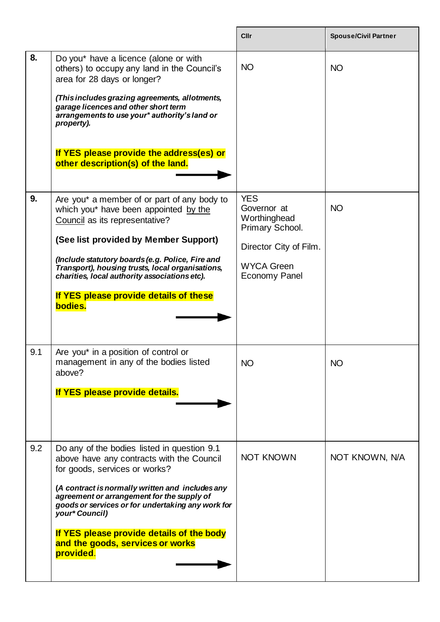|     |                                                                                                                                                                                                                                                                                                                                                                                                  | Cllr                                                                                                                                | <b>Spouse/Civil Partner</b> |
|-----|--------------------------------------------------------------------------------------------------------------------------------------------------------------------------------------------------------------------------------------------------------------------------------------------------------------------------------------------------------------------------------------------------|-------------------------------------------------------------------------------------------------------------------------------------|-----------------------------|
| 8.  | Do you* have a licence (alone or with<br>others) to occupy any land in the Council's<br>area for 28 days or longer?<br>(This includes grazing agreements, allotments,<br>garage licences and other short term<br>arrangements to use your* authority's land or<br>property).<br>If YES please provide the address(es) or<br>other description(s) of the land.                                    | <b>NO</b>                                                                                                                           | <b>NO</b>                   |
| 9.  | Are you* a member of or part of any body to<br>which you* have been appointed by the<br>Council as its representative?<br>(See list provided by Member Support)<br>(Include statutory boards (e.g. Police, Fire and<br>Transport), housing trusts, local organisations,<br>charities, local authority associations etc).<br>If YES please provide details of these<br>bodies.                    | <b>YES</b><br>Governor at<br>Worthinghead<br>Primary School.<br>Director City of Film.<br><b>WYCA Green</b><br><b>Economy Panel</b> | <b>NO</b>                   |
| 9.1 | Are you* in a position of control or<br>management in any of the bodies listed<br>above?<br>If YES please provide details.                                                                                                                                                                                                                                                                       | NO.                                                                                                                                 | <b>NO</b>                   |
| 9.2 | Do any of the bodies listed in question 9.1<br>above have any contracts with the Council<br>for goods, services or works?<br>(A contract is normally written and includes any<br>agreement or arrangement for the supply of<br>goods or services or for undertaking any work for<br>your* Council)<br>If YES please provide details of the body<br>and the goods, services or works<br>provided. | <b>NOT KNOWN</b>                                                                                                                    | NOT KNOWN, N/A              |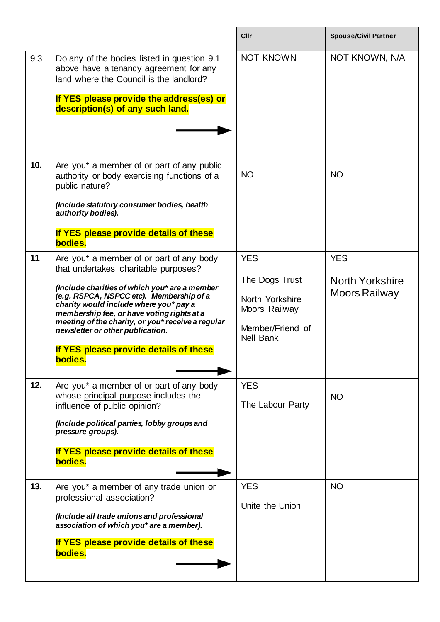|     |                                                                                                                                                                                                                                                                                                                                                                                                                     | <b>Cllr</b>                                                                                              | <b>Spouse/Civil Partner</b>                           |
|-----|---------------------------------------------------------------------------------------------------------------------------------------------------------------------------------------------------------------------------------------------------------------------------------------------------------------------------------------------------------------------------------------------------------------------|----------------------------------------------------------------------------------------------------------|-------------------------------------------------------|
| 9.3 | Do any of the bodies listed in question 9.1<br>above have a tenancy agreement for any<br>land where the Council is the landlord?<br>If YES please provide the address(es) or<br>description(s) of any such land.                                                                                                                                                                                                    | <b>NOT KNOWN</b>                                                                                         | NOT KNOWN, N/A                                        |
| 10. | Are you* a member of or part of any public<br>authority or body exercising functions of a<br>public nature?<br>(Include statutory consumer bodies, health<br>authority bodies).<br>If YES please provide details of these<br>bodies.                                                                                                                                                                                | <b>NO</b>                                                                                                | <b>NO</b>                                             |
| 11  | Are you* a member of or part of any body<br>that undertakes charitable purposes?<br>(Include charities of which you* are a member<br>(e.g. RSPCA, NSPCC etc). Membership of a<br>charity would include where you* pay a<br>membership fee, or have voting rights at a<br>meeting of the charity, or you* receive a regular<br>newsletter or other publication.<br>If YES please provide details of these<br>bodies. | <b>YES</b><br>The Dogs Trust<br>North Yorkshire<br>Moors Railway<br>Member/Friend of<br><b>Nell Bank</b> | <b>YES</b><br><b>North Yorkshire</b><br>Moors Railway |
| 12. | Are you* a member of or part of any body<br>whose principal purpose includes the<br>influence of public opinion?<br>(Include political parties, lobby groups and<br>pressure groups).<br>If YES please provide details of these<br>bodies.                                                                                                                                                                          | <b>YES</b><br>The Labour Party                                                                           | <b>NO</b>                                             |
| 13. | Are you* a member of any trade union or<br>professional association?<br>(Include all trade unions and professional<br>association of which you* are a member).<br>If YES please provide details of these<br>bodies.                                                                                                                                                                                                 | <b>YES</b><br>Unite the Union                                                                            | <b>NO</b>                                             |

 $\mathbf{r}$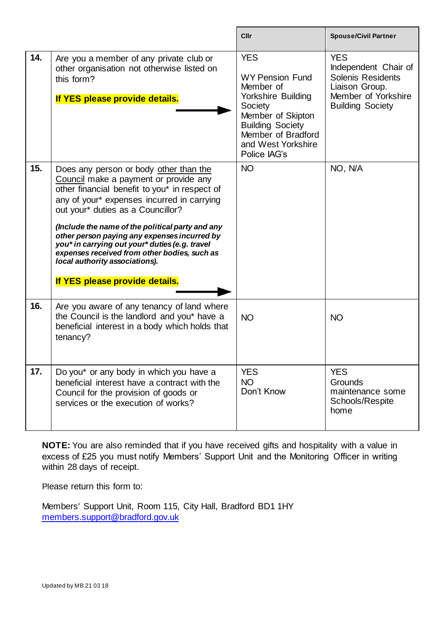|     |                                                                                                                                                                                                                                                                                                                                                                                                                                                                                               | Cllr                                                                                                                                                                                           | <b>Spouse/Civil Partner</b>                                                                                                        |
|-----|-----------------------------------------------------------------------------------------------------------------------------------------------------------------------------------------------------------------------------------------------------------------------------------------------------------------------------------------------------------------------------------------------------------------------------------------------------------------------------------------------|------------------------------------------------------------------------------------------------------------------------------------------------------------------------------------------------|------------------------------------------------------------------------------------------------------------------------------------|
| 14. | Are you a member of any private club or<br>other organisation not otherwise listed on<br>this form?<br>If YES please provide details.                                                                                                                                                                                                                                                                                                                                                         | <b>YES</b><br><b>WY Pension Fund</b><br>Member of<br>Yorkshire Building<br>Society<br>Member of Skipton<br><b>Building Society</b><br>Member of Bradford<br>and West Yorkshire<br>Police IAG's | <b>YES</b><br>Independent Chair of<br><b>Solenis Residents</b><br>Liaison Group.<br>Member of Yorkshire<br><b>Building Society</b> |
| 15. | Does any person or body other than the<br>Council make a payment or provide any<br>other financial benefit to you* in respect of<br>any of your* expenses incurred in carrying<br>out your* duties as a Councillor?<br>(Include the name of the political party and any<br>other person paying any expenses incurred by<br>you* in carrying out your* duties (e.g. travel<br>expenses received from other bodies, such as<br>local authority associations).<br>If YES please provide details. | <b>NO</b>                                                                                                                                                                                      | NO, N/A                                                                                                                            |
| 16. | Are you aware of any tenancy of land where<br>the Council is the landlord and you* have a<br>beneficial interest in a body which holds that<br>tenancy?                                                                                                                                                                                                                                                                                                                                       | <b>NO</b>                                                                                                                                                                                      | <b>NO</b>                                                                                                                          |
| 17. | Do you* or any body in which you have a<br>beneficial interest have a contract with the<br>Council for the provision of goods or<br>services or the execution of works?                                                                                                                                                                                                                                                                                                                       | <b>YES</b><br><b>NO</b><br>Don't Know                                                                                                                                                          | <b>YES</b><br><b>Grounds</b><br>maintenance some<br>Schools/Respite<br>home                                                        |

r

**NOTE:** You are also reminded that if you have received gifts and hospitality with a value in excess of £25 you must notify Members' Support Unit and the Monitoring Officer in writing within 28 days of receipt.

Please return this form to:

Members' Support Unit, Room 115, City Hall, Bradford BD1 1HY [members.support@bradford.gov.uk](mailto:members.support@bradford.gov.uk)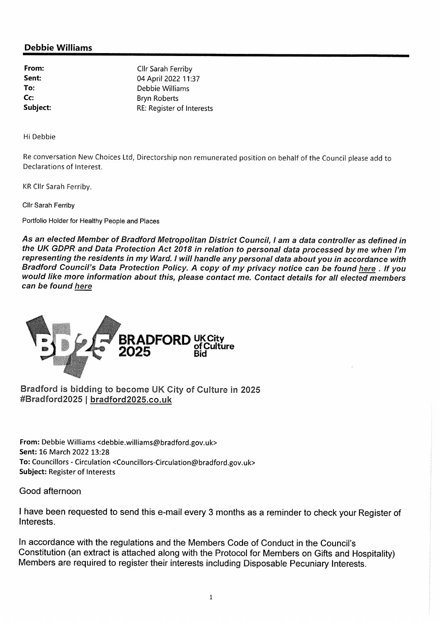# **Debbie Williams**

From: Sent: To: Cc: Subject:

Cllr Sarah Ferriby 04 April 2022 11:37 Debbie Williams **Bryn Roberts** RE: Register of Interests

Hi Debbie

Re conversation New Choices Ltd, Directorship non remunerated position on behalf of the Council please add to Declarations of Interest.

KR Cllr Sarah Ferriby.

Cllr Sarah Ferriby

Portfolio Holder for Healthy People and Places

As an elected Member of Bradford Metropolitan District Council, I am a data controller as defined in the UK GDPR and Data Protection Act 2018 in relation to personal data processed by me when I'm representing the residents in my Ward. I will handle any personal data about you in accordance with Bradford Council's Data Protection Policy. A copy of my privacy notice can be found here. If you would like more information about this, please contact me. Contact details for all elected members can be found here



Bradford is bidding to become UK City of Culture in 2025 #Bradford2025 | bradford2025.co.uk

From: Debbie Williams <debbie.williams@bradford.gov.uk> Sent: 16 March 2022 13:28 To: Councillors - Circulation < Councillors-Circulation@bradford.gov.uk> **Subject: Register of Interests** 

Good afternoon

I have been requested to send this e-mail every 3 months as a reminder to check your Register of Interests.

In accordance with the regulations and the Members Code of Conduct in the Council's Constitution (an extract is attached along with the Protocol for Members on Gifts and Hospitality) Members are required to register their interests including Disposable Pecuniary Interests.